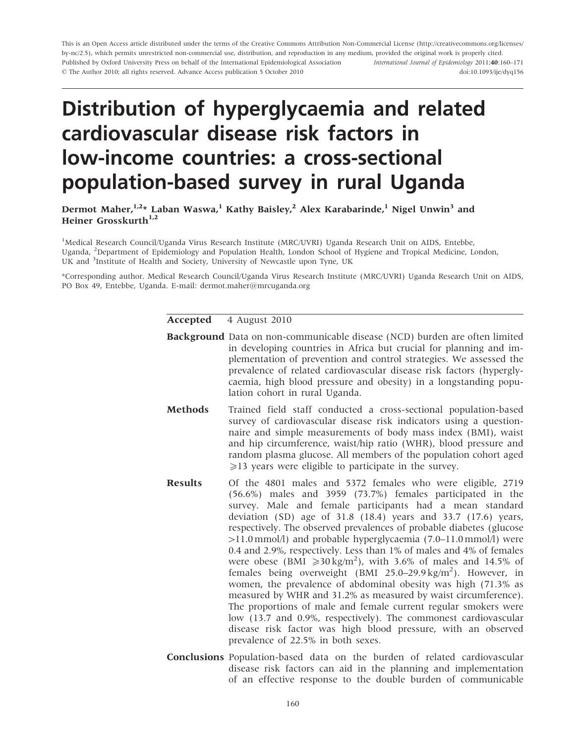This is an Open Access article distributed under the terms of the Creative Commons Attribution Non-Commercial License (http://creativecommons.org/licenses/ by-nc/2.5), which permits unrestricted non-commercial use, distribution, and reproduction in any medium, provided the original work is properly cited. Published by Oxford University Press on behalf of the International Epidemiological Association - The Author 2010; all rights reserved. Advance Access publication 5 October 2010 International Journal of Epidemiology 2011;40:160–171 doi:10.1093/ije/dyq156

# Distribution of hyperglycaemia and related cardiovascular disease risk factors in low-income countries: a cross-sectional population-based survey in rural Uganda

Dermot Maher, $1.2*$  Laban Waswa,<sup>1</sup> Kathy Baisley,<sup>2</sup> Alex Karabarinde,<sup>1</sup> Nigel Unwin<sup>3</sup> and Heiner Grosskurth $1,2$ 

<sup>1</sup>Medical Research Council/Uganda Virus Research Institute (MRC/UVRI) Uganda Research Unit on AIDS, Entebbe, Uganda, <sup>2</sup>Department of Epidemiology and Population Health, London School of Hygiene and Tropical Medicine, London, UK and <sup>3</sup>Institute of Health and Society, University of Newcastle upon Tyne, UK

\*Corresponding author. Medical Research Council/Uganda Virus Research Institute (MRC/UVRI) Uganda Research Unit on AIDS, PO Box 49, Entebbe, Uganda. E-mail: dermot.maher@mrcuganda.org

Accepted 4 August 2010

- Background Data on non-communicable disease (NCD) burden are often limited in developing countries in Africa but crucial for planning and implementation of prevention and control strategies. We assessed the prevalence of related cardiovascular disease risk factors (hyperglycaemia, high blood pressure and obesity) in a longstanding population cohort in rural Uganda.
- Methods Trained field staff conducted a cross-sectional population-based survey of cardiovascular disease risk indicators using a questionnaire and simple measurements of body mass index (BMI), waist and hip circumference, waist/hip ratio (WHR), blood pressure and random plasma glucose. All members of the population cohort aged  $\geq$ 13 years were eligible to participate in the survey.
- Results Of the 4801 males and 5372 females who were eligible, 2719 (56.6%) males and 3959 (73.7%) females participated in the survey. Male and female participants had a mean standard deviation (SD) age of 31.8 (18.4) years and 33.7 (17.6) years, respectively. The observed prevalences of probable diabetes (glucose 411.0 mmol/l) and probable hyperglycaemia (7.0–11.0 mmol/l) were 0.4 and 2.9%, respectively. Less than 1% of males and 4% of females were obese (BMI  $\geq 30 \text{ kg/m}^2$ ), with 3.6% of males and 14.5% of females being overweight (BMI 25.0-29.9 kg/m<sup>2</sup>). However, in women, the prevalence of abdominal obesity was high (71.3% as measured by WHR and 31.2% as measured by waist circumference). The proportions of male and female current regular smokers were low (13.7 and 0.9%, respectively). The commonest cardiovascular disease risk factor was high blood pressure, with an observed prevalence of 22.5% in both sexes.
- Conclusions Population-based data on the burden of related cardiovascular disease risk factors can aid in the planning and implementation of an effective response to the double burden of communicable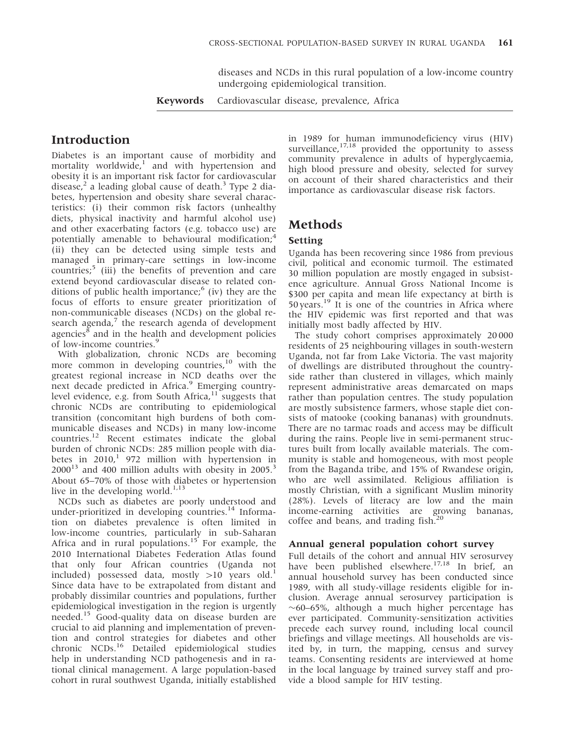diseases and NCDs in this rural population of a low-income country undergoing epidemiological transition.

Keywords Cardiovascular disease, prevalence, Africa

## Introduction

Diabetes is an important cause of morbidity and mortality worldwide,<sup>1</sup> and with hypertension and obesity it is an important risk factor for cardiovascular disease,<sup>2</sup> a leading global cause of death.<sup>3</sup> Type 2 diabetes, hypertension and obesity share several characteristics: (i) their common risk factors (unhealthy diets, physical inactivity and harmful alcohol use) and other exacerbating factors (e.g. tobacco use) are potentially amenable to behavioural modification;<sup>4</sup> (ii) they can be detected using simple tests and managed in primary-care settings in low-income countries; $\frac{5}{1}$  (iii) the benefits of prevention and care extend beyond cardiovascular disease to related conditions of public health importance; $<sup>6</sup>$  (iv) they are the</sup> focus of efforts to ensure greater prioritization of non-communicable diseases (NCDs) on the global research agenda,<sup>7</sup> the research agenda of development agencies $\delta$  and in the health and development policies of low-income countries.<sup>9</sup>

With globalization, chronic NCDs are becoming more common in developing countries,<sup>10</sup> with the greatest regional increase in NCD deaths over the next decade predicted in Africa.<sup>9</sup> Emerging countrylevel evidence, e.g. from South Africa,<sup>11</sup> suggests that chronic NCDs are contributing to epidemiological transition (concomitant high burdens of both communicable diseases and NCDs) in many low-income countries.12 Recent estimates indicate the global burden of chronic NCDs: 285 million people with diabetes in  $2010$ ,<sup>1</sup> 972 million with hypertension in  $2000^{13}$  and 400 million adults with obesity in 2005.<sup>3</sup> About 65–70% of those with diabetes or hypertension live in the developing world.<sup>1,13</sup>

NCDs such as diabetes are poorly understood and under-prioritized in developing countries.<sup>14</sup> Information on diabetes prevalence is often limited in low-income countries, particularly in sub-Saharan Africa and in rural populations.<sup>15</sup> For example, the 2010 International Diabetes Federation Atlas found that only four African countries (Uganda not included) possessed data, mostly  $>10$  years old.<sup>1</sup> Since data have to be extrapolated from distant and probably dissimilar countries and populations, further epidemiological investigation in the region is urgently needed.<sup>15</sup> Good-quality data on disease burden are crucial to aid planning and implementation of prevention and control strategies for diabetes and other chronic NCDs.<sup>16</sup> Detailed epidemiological studies help in understanding NCD pathogenesis and in rational clinical management. A large population-based cohort in rural southwest Uganda, initially established in 1989 for human immunodeficiency virus (HIV) surveillance, $17,18$  provided the opportunity to assess community prevalence in adults of hyperglycaemia, high blood pressure and obesity, selected for survey on account of their shared characteristics and their importance as cardiovascular disease risk factors.

## Methods

#### Setting

Uganda has been recovering since 1986 from previous civil, political and economic turmoil. The estimated 30 million population are mostly engaged in subsistence agriculture. Annual Gross National Income is \$300 per capita and mean life expectancy at birth is 50 years.<sup>19</sup> It is one of the countries in Africa where the HIV epidemic was first reported and that was initially most badly affected by HIV.

The study cohort comprises approximately 20 000 residents of 25 neighbouring villages in south-western Uganda, not far from Lake Victoria. The vast majority of dwellings are distributed throughout the countryside rather than clustered in villages, which mainly represent administrative areas demarcated on maps rather than population centres. The study population are mostly subsistence farmers, whose staple diet consists of matooke (cooking bananas) with groundnuts. There are no tarmac roads and access may be difficult during the rains. People live in semi-permanent structures built from locally available materials. The community is stable and homogeneous, with most people from the Baganda tribe, and 15% of Rwandese origin, who are well assimilated. Religious affiliation is mostly Christian, with a significant Muslim minority (28%). Levels of literacy are low and the main income-earning activities are growing bananas, coffee and beans, and trading fish. $^{2}$ 

### Annual general population cohort survey

Full details of the cohort and annual HIV serosurvey have been published elsewhere.<sup>17,18</sup> In brief, an annual household survey has been conducted since 1989, with all study-village residents eligible for inclusion. Average annual serosurvey participation is  $\sim$ 60–65%, although a much higher percentage has ever participated. Community-sensitization activities precede each survey round, including local council briefings and village meetings. All households are visited by, in turn, the mapping, census and survey teams. Consenting residents are interviewed at home in the local language by trained survey staff and provide a blood sample for HIV testing.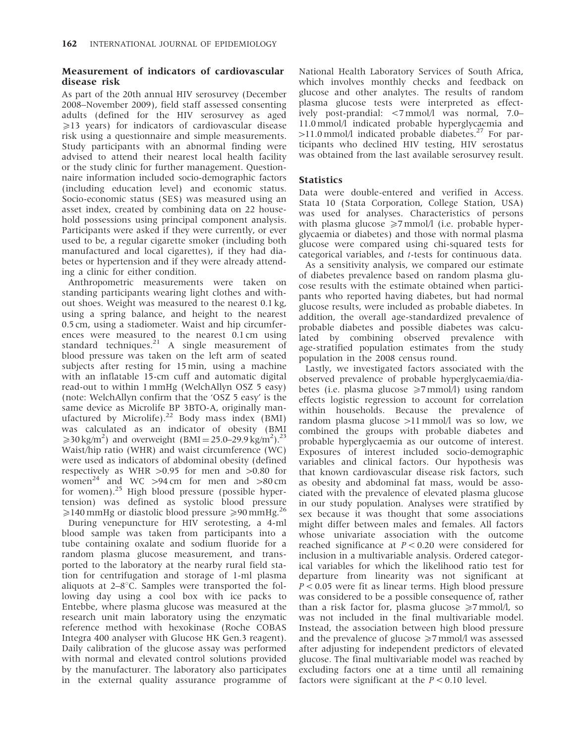### Measurement of indicators of cardiovascular disease risk

As part of the 20th annual HIV serosurvey (December 2008–November 2009), field staff assessed consenting adults (defined for the HIV serosurvey as aged  $\geq$ 13 years) for indicators of cardiovascular disease risk using a questionnaire and simple measurements. Study participants with an abnormal finding were advised to attend their nearest local health facility or the study clinic for further management. Questionnaire information included socio-demographic factors (including education level) and economic status. Socio-economic status (SES) was measured using an asset index, created by combining data on 22 household possessions using principal component analysis. Participants were asked if they were currently, or ever used to be, a regular cigarette smoker (including both manufactured and local cigarettes), if they had diabetes or hypertension and if they were already attending a clinic for either condition.

Anthropometric measurements were taken on standing participants wearing light clothes and without shoes. Weight was measured to the nearest 0.1 kg, using a spring balance, and height to the nearest 0.5 cm, using a stadiometer. Waist and hip circumferences were measured to the nearest 0.1 cm using standard techniques.<sup>21</sup> A single measurement of blood pressure was taken on the left arm of seated subjects after resting for 15 min, using a machine with an inflatable 15-cm cuff and automatic digital read-out to within 1 mmHg (WelchAllyn OSZ 5 easy) (note: WelchAllyn confirm that the 'OSZ 5 easy' is the same device as Microlife BP 3BTO-A, originally manufactured by Microlife).<sup>22</sup> Body mass index (BMI) was calculated as an indicator of obesity (BMI  $\geq 30 \text{ kg/m}^2$ ) and overweight (BMI = 25.0–29.9 kg/m<sup>2</sup>).<sup>23</sup> Waist/hip ratio (WHR) and waist circumference (WC) were used as indicators of abdominal obesity (defined respectively as WHR  $>0.95$  for men and  $>0.80$  for women<sup>24</sup> and WC  $>94 \text{ cm}$  for men and  $>80 \text{ cm}$ for women).<sup>25</sup> High blood pressure (possible hypertension) was defined as systolic blood pressure  $\geq$ 140 mmHg or diastolic blood pressure  $\geq$ 90 mmHg.<sup>26</sup>

During venepuncture for HIV serotesting, a 4-ml blood sample was taken from participants into a tube containing oxalate and sodium fluoride for a random plasma glucose measurement, and transported to the laboratory at the nearby rural field station for centrifugation and storage of 1-ml plasma aliquots at  $2-8^{\circ}$ C. Samples were transported the following day using a cool box with ice packs to Entebbe, where plasma glucose was measured at the research unit main laboratory using the enzymatic reference method with hexokinase (Roche COBAS Integra 400 analyser with Glucose HK Gen.3 reagent). Daily calibration of the glucose assay was performed with normal and elevated control solutions provided by the manufacturer. The laboratory also participates in the external quality assurance programme of

National Health Laboratory Services of South Africa, which involves monthly checks and feedback on glucose and other analytes. The results of random plasma glucose tests were interpreted as effectively post-prandial: <7 mmol/l was normal, 7.0– 11.0 mmol/l indicated probable hyperglycaemia and  $>11.0$  mmol/l indicated probable diabetes.<sup>27</sup> For participants who declined HIV testing, HIV serostatus was obtained from the last available serosurvey result.

### **Statistics**

Data were double-entered and verified in Access. Stata 10 (Stata Corporation, College Station, USA) was used for analyses. Characteristics of persons with plasma glucose  $\geq 7$  mmol/l (i.e. probable hyperglycaemia or diabetes) and those with normal plasma glucose were compared using chi-squared tests for categorical variables, and t-tests for continuous data.

As a sensitivity analysis, we compared our estimate of diabetes prevalence based on random plasma glucose results with the estimate obtained when participants who reported having diabetes, but had normal glucose results, were included as probable diabetes. In addition, the overall age-standardized prevalence of probable diabetes and possible diabetes was calculated by combining observed prevalence with age-stratified population estimates from the study population in the 2008 census round.

Lastly, we investigated factors associated with the observed prevalence of probable hyperglycaemia/diabetes (i.e. plasma glucose  $\geq 7$  mmol/l) using random effects logistic regression to account for correlation within households. Because the prevalence of random plasma glucose  $>11$  mmol/l was so low, we combined the groups with probable diabetes and probable hyperglycaemia as our outcome of interest. Exposures of interest included socio-demographic variables and clinical factors. Our hypothesis was that known cardiovascular disease risk factors, such as obesity and abdominal fat mass, would be associated with the prevalence of elevated plasma glucose in our study population. Analyses were stratified by sex because it was thought that some associations might differ between males and females. All factors whose univariate association with the outcome reached significance at  $P < 0.20$  were considered for inclusion in a multivariable analysis. Ordered categorical variables for which the likelihood ratio test for departure from linearity was not significant at  $P < 0.05$  were fit as linear terms. High blood pressure was considered to be a possible consequence of, rather than a risk factor for, plasma glucose  $\geq 7$  mmol/l, so was not included in the final multivariable model. Instead, the association between high blood pressure and the prevalence of glucose  $\geq 7$  mmol/l was assessed after adjusting for independent predictors of elevated glucose. The final multivariable model was reached by excluding factors one at a time until all remaining factors were significant at the  $P < 0.10$  level.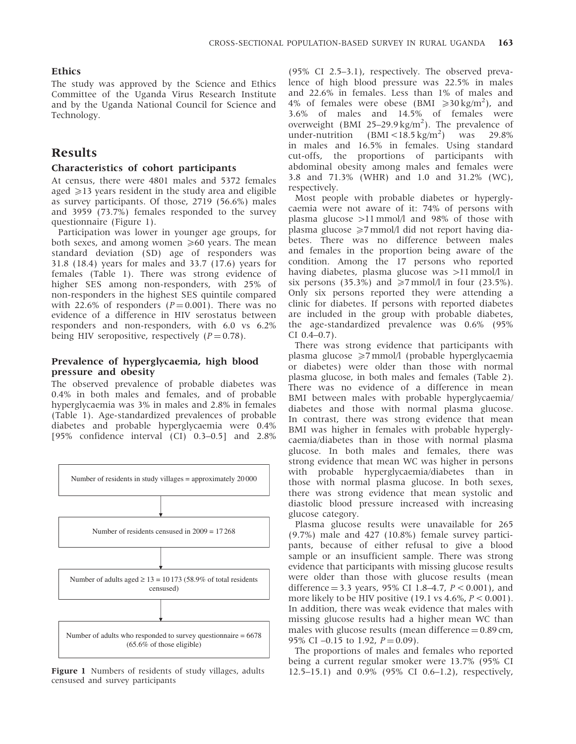#### Ethics

The study was approved by the Science and Ethics Committee of the Uganda Virus Research Institute and by the Uganda National Council for Science and Technology.

## Results

#### Characteristics of cohort participants

At census, there were 4801 males and 5372 females aged  $\geq$ 13 years resident in the study area and eligible as survey participants. Of those, 2719 (56.6%) males and 3959 (73.7%) females responded to the survey questionnaire (Figure 1).

Participation was lower in younger age groups, for both sexes, and among women  $\geq 60$  years. The mean standard deviation (SD) age of responders was 31.8 (18.4) years for males and 33.7 (17.6) years for females (Table 1). There was strong evidence of higher SES among non-responders, with 25% of non-responders in the highest SES quintile compared with 22.6% of responders  $(P = 0.001)$ . There was no evidence of a difference in HIV serostatus between responders and non-responders, with 6.0 vs 6.2% being HIV seropositive, respectively  $(P = 0.78)$ .

### Prevalence of hyperglycaemia, high blood pressure and obesity

The observed prevalence of probable diabetes was 0.4% in both males and females, and of probable hyperglycaemia was 3% in males and 2.8% in females (Table 1). Age-standardized prevalences of probable diabetes and probable hyperglycaemia were 0.4% [95% confidence interval (CI) 0.3–0.5] and 2.8%



Figure 1 Numbers of residents of study villages, adults censused and survey participants

(95% CI 2.5–3.1), respectively. The observed prevalence of high blood pressure was 22.5% in males and 22.6% in females. Less than 1% of males and 4% of females were obese (BMI  $\geq 30 \text{ kg/m}^2$ ), and 3.6% of males and 14.5% of females were overweight (BMI  $25-29.9 \text{ kg/m}^2$ ). The prevalence of under-nutrition  $(BMI < 18.5 \text{ kg/m}^2)$ ) was 29.8% in males and 16.5% in females. Using standard cut-offs, the proportions of participants with abdominal obesity among males and females were 3.8 and 71.3% (WHR) and 1.0 and 31.2% (WC), respectively.

Most people with probable diabetes or hyperglycaemia were not aware of it: 74% of persons with plasma glucose  $>11$  mmol/l and 98% of those with plasma glucose  $\geq 7$  mmol/l did not report having diabetes. There was no difference between males and females in the proportion being aware of the condition. Among the 17 persons who reported having diabetes, plasma glucose was  $>11$  mmol/l in six persons (35.3%) and  $\ge 7$  mmol/l in four (23.5%). Only six persons reported they were attending a clinic for diabetes. If persons with reported diabetes are included in the group with probable diabetes, the age-standardized prevalence was 0.6% (95% CI 0.4–0.7).

There was strong evidence that participants with plasma glucose  $\geq 7$  mmol/l (probable hyperglycaemia or diabetes) were older than those with normal plasma glucose, in both males and females (Table 2). There was no evidence of a difference in mean BMI between males with probable hyperglycaemia/ diabetes and those with normal plasma glucose. In contrast, there was strong evidence that mean BMI was higher in females with probable hyperglycaemia/diabetes than in those with normal plasma glucose. In both males and females, there was strong evidence that mean WC was higher in persons with probable hyperglycaemia/diabetes than in those with normal plasma glucose. In both sexes, there was strong evidence that mean systolic and diastolic blood pressure increased with increasing glucose category.

Plasma glucose results were unavailable for 265 (9.7%) male and 427 (10.8%) female survey participants, because of either refusal to give a blood sample or an insufficient sample. There was strong evidence that participants with missing glucose results were older than those with glucose results (mean difference = 3.3 years, 95% CI 1.8–4.7,  $P < 0.001$ ), and more likely to be HIV positive (19.1 vs 4.6%,  $P < 0.001$ ). In addition, there was weak evidence that males with missing glucose results had a higher mean WC than males with glucose results (mean difference  $= 0.89$  cm, 95% CI  $-0.15$  to 1.92,  $P = 0.09$ ).

The proportions of males and females who reported being a current regular smoker were 13.7% (95% CI 12.5–15.1) and 0.9% (95% CI 0.6–1.2), respectively,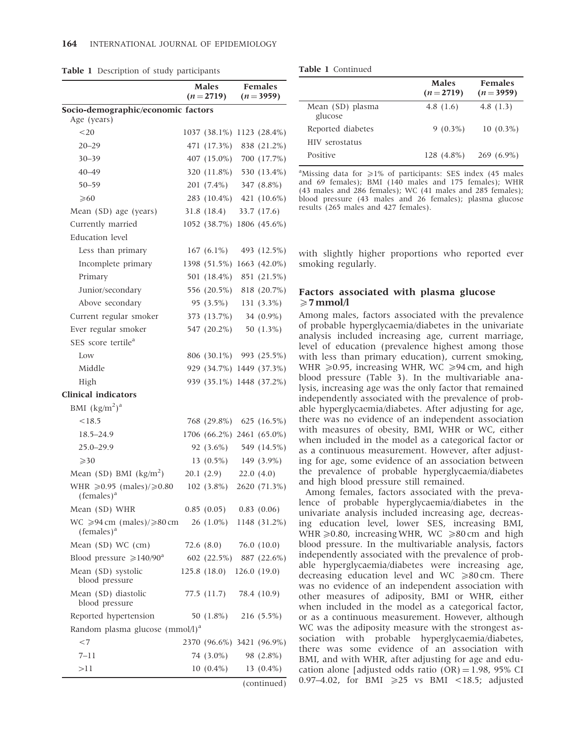|                                                                      | <b>Males</b><br>$(n=2719)$ |                           | <b>Females</b><br>$(n=3959)$ |                |
|----------------------------------------------------------------------|----------------------------|---------------------------|------------------------------|----------------|
| Socio-demographic/economic factors                                   |                            |                           |                              |                |
| Age (years)                                                          |                            |                           |                              |                |
| < 20                                                                 |                            | 1037 (38.1%) 1123 (28.4%) |                              |                |
| $20 - 29$                                                            |                            | 471 (17.3%) 838 (21.2%)   |                              |                |
| $30 - 39$                                                            |                            | 407 (15.0%) 700 (17.7%)   |                              |                |
| $40 - 49$                                                            |                            | 320 (11.8%)               |                              | 530 (13.4%)    |
| $50 - 59$                                                            |                            | 201 (7.4%)                |                              | 347 (8.8%)     |
| $\geqslant 60$                                                       |                            | 283 (10.4%) 421 (10.6%)   |                              |                |
| Mean (SD) age (years)                                                |                            | 31.8 (18.4)               |                              | 33.7 (17.6)    |
| Currently married                                                    |                            | 1052 (38.7%)              |                              | 1806 (45.6%)   |
| Education level                                                      |                            |                           |                              |                |
| Less than primary                                                    |                            | 167 $(6.1\%)$             |                              | 493 (12.5%)    |
| Incomplete primary                                                   |                            | 1398 (51.5%)              |                              | 1663 (42.0%)   |
| Primary                                                              |                            | 501 (18.4%)               |                              | 851 (21.5%)    |
| Junior/secondary                                                     |                            | 556 (20.5%)               |                              | 818 (20.7%)    |
| Above secondary                                                      |                            | 95 (3.5%)                 |                              | $131(3.3\%)$   |
| Current regular smoker                                               |                            | 373 (13.7%) 34 (0.9%)     |                              |                |
| Ever regular smoker                                                  |                            | 547 (20.2%)               |                              | 50 (1.3%)      |
| SES score tertile <sup>a</sup>                                       |                            |                           |                              |                |
| Low                                                                  |                            | 806 (30.1%) 993 (25.5%)   |                              |                |
| Middle                                                               |                            | 929 (34.7%) 1449 (37.3%)  |                              |                |
| High                                                                 |                            | 939 (35.1%) 1448 (37.2%)  |                              |                |
| <b>Clinical indicators</b>                                           |                            |                           |                              |                |
| BMI $(kg/m2)a$                                                       |                            |                           |                              |                |
| < 18.5                                                               |                            | 768 (29.8%)               |                              | 625 $(16.5\%)$ |
| $18.5 - 24.9$                                                        |                            | 1706 (66.2%) 2461 (65.0%) |                              |                |
| $25.0 - 29.9$                                                        |                            | 92 (3.6%)                 |                              | 549 (14.5%)    |
| $\geqslant$ 30                                                       |                            | $13(0.5\%)$               |                              | 149 (3.9%)     |
| Mean (SD) BMI $(kg/m2)$                                              |                            | $20.1(2.9)$ $22.0(4.0)$   |                              |                |
| WHR $\geq 0.95$ (males)/ $\geq 0.80$<br>$( females)^a$               |                            | $102(3.8\%)$              |                              | 2620 (71.3%)   |
| Mean (SD) WHR                                                        |                            | $0.85(0.05)$ $0.83(0.06)$ |                              |                |
| WC $\geqslant$ 94 cm (males)/ $\geqslant$ 80 cm<br>$($ females $)^a$ |                            | $26(1.0\%)$               |                              | 1148 (31.2%)   |
| Mean (SD) WC (cm)                                                    |                            | 72.6 (8.0)                |                              | 76.0 (10.0)    |
| Blood pressure $\geq 140/90^a$                                       |                            | 602 (22.5%)               |                              | 887 (22.6%)    |
| Mean (SD) systolic<br>blood pressure                                 |                            | 125.8 (18.0)              |                              | 126.0(19.0)    |
| Mean (SD) diastolic<br>blood pressure                                |                            | 77.5 (11.7)               |                              | 78.4 (10.9)    |
| Reported hypertension                                                |                            | 50 (1.8%)                 |                              | 216 (5.5%)     |
| Random plasma glucose $\text{(mmol/l)}^a$                            |                            |                           |                              |                |
| $<$ 7                                                                |                            | 2370 (96.6%)              |                              | 3421 (96.9%)   |
| 7–11                                                                 |                            | 74 (3.0%)                 |                              | 98 (2.8%)      |
| >11                                                                  |                            | $10(0.4\%)$               |                              | 13 $(0.4\%)$   |
|                                                                      |                            |                           |                              | (continued)    |

| <b>Table 1 Continued</b> |  |  |  |
|--------------------------|--|--|--|
|--------------------------|--|--|--|

|                             | Males<br>$(n=2719)$ | <b>Females</b><br>$(n=3959)$ |
|-----------------------------|---------------------|------------------------------|
| Mean (SD) plasma<br>glucose | 4.8 $(1.6)$         | 4.8 $(1.3)$                  |
| Reported diabetes           | $9(0.3\%)$          | $10(0.3\%)$                  |
| HIV serostatus              |                     |                              |
| Positive                    | 128 (4.8%)          | $269(6.9\%)$                 |
|                             |                     |                              |

<sup>a</sup>Missing data for  $\geq 1\%$  of participants: SES index (45 males and 69 females); BMI (140 males and 175 females); WHR (43 males and 286 females); WC (41 males and 285 females); blood pressure (43 males and 26 females); plasma glucose results (265 males and 427 females).

with slightly higher proportions who reported ever smoking regularly.

#### Factors associated with plasma glucose  $\geq 7$  mmol/l

Among males, factors associated with the prevalence of probable hyperglycaemia/diabetes in the univariate analysis included increasing age, current marriage, level of education (prevalence highest among those with less than primary education), current smoking, WHR  $\geq 0.95$ , increasing WHR, WC  $\geq 94$  cm, and high blood pressure (Table 3). In the multivariable analysis, increasing age was the only factor that remained independently associated with the prevalence of probable hyperglycaemia/diabetes. After adjusting for age, there was no evidence of an independent association with measures of obesity, BMI, WHR or WC, either when included in the model as a categorical factor or as a continuous measurement. However, after adjusting for age, some evidence of an association between the prevalence of probable hyperglycaemia/diabetes and high blood pressure still remained.

Among females, factors associated with the prevalence of probable hyperglycaemia/diabetes in the univariate analysis included increasing age, decreasing education level, lower SES, increasing BMI, WHR  $\geq 0.80$ , increasing WHR, WC  $\geq 80$  cm and high blood pressure. In the multivariable analysis, factors independently associated with the prevalence of probable hyperglycaemia/diabetes were increasing age, decreasing education level and WC  $\geq 80$  cm. There was no evidence of an independent association with other measures of adiposity, BMI or WHR, either when included in the model as a categorical factor, or as a continuous measurement. However, although WC was the adiposity measure with the strongest association with probable hyperglycaemia/diabetes, there was some evidence of an association with BMI, and with WHR, after adjusting for age and education alone [adjusted odds ratio  $(OR) = 1.98$ , 95% CI 0.97-4.02, for BMI  $\geq 25$  vs BMI <18.5; adjusted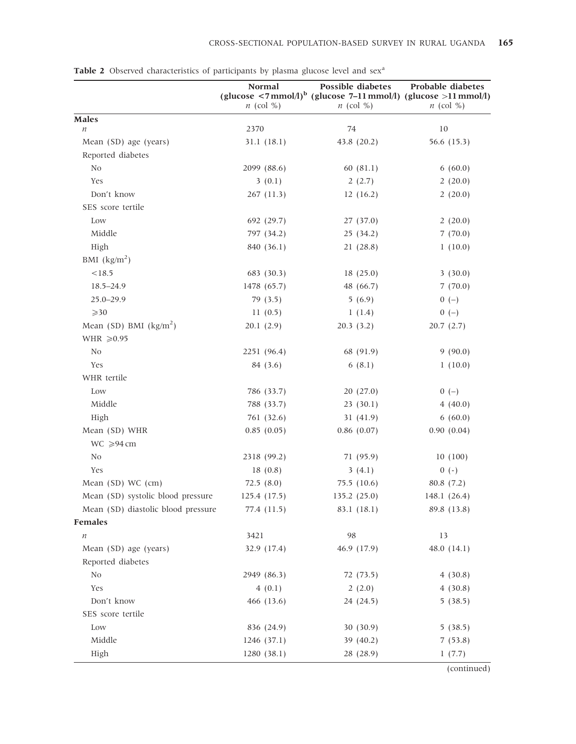|                                    | Normal                   | Possible diabetes                                                                       | Probable diabetes  |
|------------------------------------|--------------------------|-----------------------------------------------------------------------------------------|--------------------|
|                                    |                          | (glucose $\langle 7 \text{mmol/l} \rangle^b$ (glucose 7–11 mmol/l) (glucose >11 mmol/l) |                    |
|                                    | $n$ (col %)              | $n$ (col %)                                                                             | $n$ (col %)        |
| <b>Males</b><br>$\it n$            | 2370                     | 74                                                                                      | 10                 |
| Mean (SD) age (years)              | 31.1(18.1)               | 43.8 (20.2)                                                                             | 56.6 (15.3)        |
| Reported diabetes                  |                          |                                                                                         |                    |
| N <sub>0</sub>                     | 2099 (88.6)              | 60(81.1)                                                                                | 6(60.0)            |
| Yes                                | 3(0.1)                   | 2(2.7)                                                                                  | 2(20.0)            |
| Don't know                         | 267(11.3)                | 12(16.2)                                                                                | 2(20.0)            |
| SES score tertile                  |                          |                                                                                         |                    |
| Low                                | 692 (29.7)               | 27 (37.0)                                                                               | 2(20.0)            |
| Middle                             | 797 (34.2)               | 25(34.2)                                                                                | 7(70.0)            |
| High                               | 840 (36.1)               | 21(28.8)                                                                                | 1(10.0)            |
| BMI $\frac{\text{kg}}{\text{m}^2}$ |                          |                                                                                         |                    |
| < 18.5                             | 683 (30.3)               | 18(25.0)                                                                                | 3(30.0)            |
| $18.5 - 24.9$                      | 1478 (65.7)              | 48 (66.7)                                                                               | 7(70.0)            |
| $25.0 - 29.9$                      | 79 (3.5)                 | 5(6.9)                                                                                  | $0 (-)$            |
| $\geqslant$ 30                     | 11(0.5)                  | 1(1.4)                                                                                  | $0 (-)$            |
| Mean (SD) BMI $(kg/m2)$            | 20.1(2.9)                | 20.3(3.2)                                                                               | 20.7(2.7)          |
| WHR $\geqslant$ 0.95               |                          |                                                                                         |                    |
| N <sub>0</sub>                     | 2251 (96.4)              | 68 (91.9)                                                                               | 9(90.0)            |
| Yes                                | 84 (3.6)                 | 6(8.1)                                                                                  | 1(10.0)            |
| WHR tertile                        |                          |                                                                                         |                    |
| Low                                |                          |                                                                                         |                    |
| Middle                             | 786 (33.7)<br>788 (33.7) | 20(27.0)<br>23(30.1)                                                                    | $0 (-)$<br>4(40.0) |
| High                               | 761 (32.6)               |                                                                                         | 6(60.0)            |
| Mean (SD) WHR                      | 0.85(0.05)               | 31(41.9)<br>$0.86$ $(0.07)$                                                             | 0.90(0.04)         |
|                                    |                          |                                                                                         |                    |
| $WC \ge 94 cm$                     |                          |                                                                                         |                    |
| N <sub>0</sub>                     | 2318 (99.2)              | 71 (95.9)                                                                               | 10(100)            |
| Yes                                | 18(0.8)                  | 3(4.1)                                                                                  | $0 (-)$            |
| Mean (SD) WC (cm)                  | 72.5(8.0)                | 75.5(10.6)                                                                              | 80.8(7.2)          |
| Mean (SD) systolic blood pressure  | 125.4(17.5)              | 135.2(25.0)                                                                             | 148.1 $(26.4)$     |
| Mean (SD) diastolic blood pressure | 77.4 (11.5)              | 83.1 (18.1)                                                                             | 89.8 (13.8)        |
| Females                            |                          |                                                                                         |                    |
| $\boldsymbol{n}$                   | 3421                     | 98                                                                                      | 13                 |
| Mean (SD) age (years)              | 32.9 (17.4)              | 46.9 (17.9)                                                                             | 48.0 $(14.1)$      |
| Reported diabetes                  |                          |                                                                                         | 4(30.8)            |
| No                                 | 2949 (86.3)              | 72 (73.5)                                                                               |                    |
| Yes                                | 4(0.1)                   | 2(2.0)                                                                                  | 4(30.8)            |
| Don't know                         | 466 (13.6)               | 24 (24.5)                                                                               | 5(38.5)            |
| SES score tertile                  |                          |                                                                                         |                    |
| Low                                | 836 (24.9)               | 30(30.9)                                                                                | 5(38.5)            |
| Middle                             | 1246 (37.1)              | 39 (40.2)                                                                               | 7(53.8)            |
| High                               | 1280(38.1)               | 28 (28.9)                                                                               | 1(7.7)             |

Table 2 Observed characteristics of participants by plasma glucose level and sex<sup>a</sup>

(continued)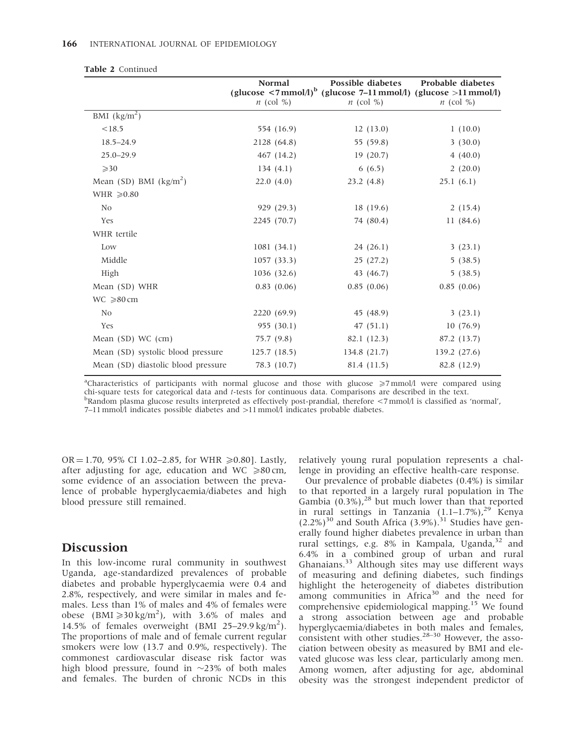|                                    | <b>Normal</b><br>$n$ (col %) | Possible diabetes<br>(glucose $\langle 7 \text{mmol/l} \rangle^b$ (glucose 7–11 mmol/l) (glucose >11 mmol/l)<br>$n$ (col %) | <b>Probable diabetes</b><br>$n$ (col %) |
|------------------------------------|------------------------------|-----------------------------------------------------------------------------------------------------------------------------|-----------------------------------------|
| BMI $\frac{\text{kg}}{\text{m}^2}$ |                              |                                                                                                                             |                                         |
| < 18.5                             | 554 (16.9)                   | 12(13.0)                                                                                                                    | 1(10.0)                                 |
| $18.5 - 24.9$                      | 2128 (64.8)                  | 55 (59.8)                                                                                                                   | 3(30.0)                                 |
| $25.0 - 29.9$                      | 467 (14.2)                   | 19(20.7)                                                                                                                    | 4(40.0)                                 |
| $\geqslant$ 30                     | 134(4.1)                     | 6(6.5)                                                                                                                      | 2(20.0)                                 |
| Mean (SD) BMI $(kg/m2)$            | 22.0(4.0)                    | 23.2(4.8)                                                                                                                   | 25.1(6.1)                               |
| WHR $\geq 0.80$                    |                              |                                                                                                                             |                                         |
| N <sub>0</sub>                     | 929 (29.3)                   | 18(19.6)                                                                                                                    | 2(15.4)                                 |
| Yes                                | 2245 (70.7)                  | 74 (80.4)                                                                                                                   | 11(84.6)                                |
| WHR tertile                        |                              |                                                                                                                             |                                         |
| Low                                | 1081(34.1)                   | 24(26.1)                                                                                                                    | 3(23.1)                                 |
| Middle                             | 1057(33.3)                   | 25(27.2)                                                                                                                    | 5(38.5)                                 |
| High                               | 1036 (32.6)                  | 43 (46.7)                                                                                                                   | 5(38.5)                                 |
| Mean (SD) WHR                      | 0.83(0.06)                   | 0.85(0.06)                                                                                                                  | 0.85(0.06)                              |
| $WC \ge 80$ cm                     |                              |                                                                                                                             |                                         |
| No                                 | 2220 (69.9)                  | 45 (48.9)                                                                                                                   | 3(23.1)                                 |
| Yes                                | 955 (30.1)                   | 47(51.1)                                                                                                                    | 10(76.9)                                |
| Mean $(SD)$ WC $(cm)$              | 75.7(9.8)                    | 82.1 (12.3)                                                                                                                 | 87.2 (13.7)                             |
| Mean (SD) systolic blood pressure  | 125.7(18.5)                  | 134.8 (21.7)                                                                                                                | 139.2(27.6)                             |
| Mean (SD) diastolic blood pressure | 78.3 (10.7)                  | 81.4 (11.5)                                                                                                                 | 82.8 (12.9)                             |
|                                    |                              |                                                                                                                             |                                         |

|  |  | <b>Table 2</b> Continued |
|--|--|--------------------------|
|--|--|--------------------------|

<sup>a</sup>Characteristics of participants with normal glucose and those with glucose ≥7 mmol/l were compared using chi-square tests for categorical data and <sup>t</sup>-tests for continuous data. Comparisons are described in the text. <sup>b</sup>  $B$ Random plasma glucose results interpreted as effectively post-prandial, therefore <7 mmol/l is classified as 'normal',

7-11 mmol/l indicates possible diabetes and >11 mmol/l indicates probable diabetes.

OR = 1.70, 95% CI 1.02–2.85, for WHR  $\geq 0.80$ ]. Lastly, after adjusting for age, education and WC  $\geq 80$  cm, some evidence of an association between the prevalence of probable hyperglycaemia/diabetes and high blood pressure still remained.

## Discussion

In this low-income rural community in southwest Uganda, age-standardized prevalences of probable diabetes and probable hyperglycaemia were 0.4 and 2.8%, respectively, and were similar in males and females. Less than 1% of males and 4% of females were obese (BMI $\geq$ 30 kg/m<sup>2</sup>), with 3.6% of males and 14.5% of females overweight (BMI 25-29.9 kg/m<sup>2</sup>). The proportions of male and of female current regular smokers were low (13.7 and 0.9%, respectively). The commonest cardiovascular disease risk factor was high blood pressure, found in  $\sim$ 23% of both males and females. The burden of chronic NCDs in this

relatively young rural population represents a challenge in providing an effective health-care response.

Our prevalence of probable diabetes (0.4%) is similar to that reported in a largely rural population in The Gambia  $(0.3\%)$ ,<sup>28</sup> but much lower than that reported in rural settings in Tanzania (1.1-1.7%),<sup>29</sup> Kenya  $(2.2\%)^{30}$  and South Africa  $(3.9\%)$ .<sup>31</sup> Studies have generally found higher diabetes prevalence in urban than rural settings, e.g. 8% in Kampala, Uganda,<sup>32</sup> and 6.4% in a combined group of urban and rural Ghanaians.<sup>33</sup> Although sites may use different ways of measuring and defining diabetes, such findings highlight the heterogeneity of diabetes distribution among communities in Africa<sup>30</sup> and the need for comprehensive epidemiological mapping.<sup>15</sup> We found a strong association between age and probable hyperglycaemia/diabetes in both males and females,  $\frac{1}{2}$  consistent with other studies.<sup>28–30</sup> However, the association between obesity as measured by BMI and elevated glucose was less clear, particularly among men. Among women, after adjusting for age, abdominal obesity was the strongest independent predictor of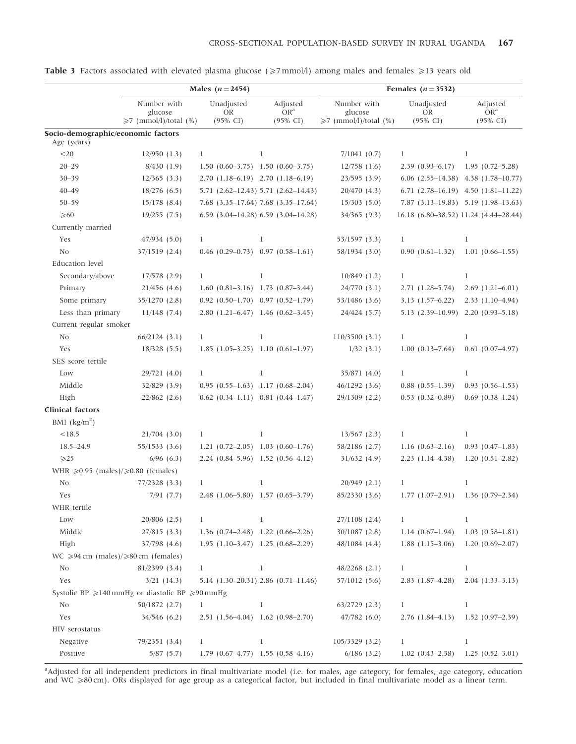|                                                   | Males ( $n = 2454$ )                                       |                                           | Females $(n=3532)$                          |                             |                                             |                             |
|---------------------------------------------------|------------------------------------------------------------|-------------------------------------------|---------------------------------------------|-----------------------------|---------------------------------------------|-----------------------------|
|                                                   | Number with<br>glucose                                     | Unadjusted<br><b>OR</b>                   | Adjusted<br>OR <sup>a</sup>                 | Number with<br>glucose      | Unadjusted<br><b>OR</b>                     | Adjusted<br>OR <sup>a</sup> |
|                                                   | $\geq 7$ (mmol/l)/total (%)                                | $(95\% \text{ CI})$                       | $(95\% \text{ CI})$                         | $\geq 7$ (mmol/l)/total (%) | $(95\% \text{ CI})$                         | $(95\% \text{ CI})$         |
| Socio-demographic/economic factors<br>Age (years) |                                                            |                                           |                                             |                             |                                             |                             |
| $< \! 20$                                         | 12/950(1.3)                                                | 1                                         | 1                                           | 7/1041(0.7)                 | 1                                           | 1                           |
| $20 - 29$                                         | 8/430(1.9)                                                 | $1.50(0.60-3.75)$ 1.50 $(0.60-3.75)$      |                                             | $12/758$ (1.6)              | $2.39(0.93 - 6.17)$                         | $1.95(0.72 - 5.28)$         |
| $30 - 39$                                         | 12/365(3.3)                                                | 2.70 (1.18–6.19) 2.70 (1.18–6.19)         |                                             | 23/595(3.9)                 | $6.06$ $(2.55-14.38)$ $4.38$ $(1.78-10.77)$ |                             |
| $40 - 49$                                         | 18/276(6.5)                                                |                                           | 5.71 (2.62-12.43) 5.71 (2.62-14.43)         | 20/470 (4.3)                | 6.71 $(2.78-16.19)$ 4.50 $(1.81-11.22)$     |                             |
| $50 - 59$                                         | $15/178$ (8.4)                                             |                                           | 7.68 (3.35-17.64) 7.68 (3.35-17.64)         | 15/303(5.0)                 | 7.87 (3.13-19.83) 5.19 (1.98-13.63)         |                             |
| $\geqslant 60$                                    | 19/255(7.5)                                                |                                           | $6.59$ $(3.04-14.28)$ $6.59$ $(3.04-14.28)$ | 34/365 (9.3)                | 16.18 (6.80-38.52) 11.24 (4.44-28.44)       |                             |
| Currently married                                 |                                                            |                                           |                                             |                             |                                             |                             |
| Yes                                               | 47/934 (5.0)                                               | 1                                         | 1                                           | 53/1597 (3.3)               | 1                                           | 1                           |
| No                                                | 37/1519 (2.4)                                              | $0.46$ (0.29-0.73) 0.97 (0.58-1.61)       |                                             | 58/1934 (3.0)               | $0.90(0.61 - 1.32)$                         | $1.01(0.66 - 1.55)$         |
| <b>Education</b> level                            |                                                            |                                           |                                             |                             |                                             |                             |
| Secondary/above                                   | $17/578$ $(2.9)$                                           | 1                                         | 1                                           | $10/849$ (1.2)              | 1                                           | 1                           |
| Primary                                           | $21/456$ (4.6)                                             | $1.60$ $(0.81-3.16)$ 1.73 $(0.87-3.44)$   |                                             | 24/770 (3.1)                | $2.71(1.28 - 5.74)$                         | $2.69$ (1.21-6.01)          |
| Some primary                                      | 35/1270 (2.8)                                              | $0.92$ $(0.50-1.70)$ $0.97$ $(0.52-1.79)$ |                                             | 53/1486 (3.6)               | $3.13(1.57-6.22)$                           | $2.33(1.10-4.94)$           |
| Less than primary                                 | $11/148$ (7.4)                                             | 2.80 (1.21-6.47) 1.46 (0.62-3.45)         |                                             | 24/424 (5.7)                | 5.13 (2.39-10.99) 2.20 (0.93-5.18)          |                             |
| Current regular smoker                            |                                                            |                                           |                                             |                             |                                             |                             |
| No                                                | 66/2124(3.1)                                               | 1                                         | 1                                           | 110/3500(3.1)               | 1                                           | 1                           |
| Yes                                               | 18/328(5.5)                                                | $1.85$ (1.05-3.25) 1.10 (0.61-1.97)       |                                             | 1/32(3.1)                   | $1.00(0.13 - 7.64)$                         | $0.61$ $(0.07-4.97)$        |
| SES score tertile                                 |                                                            |                                           |                                             |                             |                                             |                             |
| Low                                               | 29/721 (4.0)                                               | 1                                         | 1                                           | 35/871 (4.0)                | 1                                           | 1                           |
| Middle                                            | 32/829 (3.9)                                               | $0.95(0.55-1.63)$ 1.17 $(0.68-2.04)$      |                                             | 46/1292(3.6)                | $0.88$ $(0.55 - 1.39)$                      | $0.93(0.56 - 1.53)$         |
| High                                              | $22/862$ (2.6)                                             | $0.62$ $(0.34-1.11)$ $0.81$ $(0.44-1.47)$ |                                             | 29/1309 (2.2)               | $0.53$ $(0.32 - 0.89)$                      | $0.69$ $(0.38 - 1.24)$      |
| <b>Clinical factors</b>                           |                                                            |                                           |                                             |                             |                                             |                             |
| BMI $\frac{\text{kg}}{\text{m}^2}$                |                                                            |                                           |                                             |                             |                                             |                             |
| <18.5                                             | $21/704$ (3.0)                                             | 1                                         | 1                                           | $13/567$ (2.3)              | 1                                           | 1                           |
| $18.5 - 24.9$                                     | 55/1533(3.6)                                               | $1.21$ (0.72-2.05) 1.03 (0.60-1.76)       |                                             | 58/2186 (2.7)               | $1.16(0.63 - 2.16)$                         | $0.93(0.47-1.83)$           |
| $\geqslant$ 25                                    | $6/96$ (6.3)                                               | 2.24 (0.84–5.96) 1.52 (0.56–4.12)         |                                             | 31/632(4.9)                 | $2.23(1.14-4.38)$                           | $1.20(0.51 - 2.82)$         |
| WHR $\geq 0.95$ (males)/ $\geq 0.80$ (females)    |                                                            |                                           |                                             |                             |                                             |                             |
| N <sub>0</sub>                                    | 77/2328 (3.3)                                              | 1                                         | 1                                           | 20/949 (2.1)                | 1                                           | 1                           |
| Yes                                               | 7/91(7.7)                                                  | 2.48 (1.06-5.80) 1.57 (0.65-3.79)         |                                             | 85/2330 (3.6)               | $1.77(1.07-2.91)$                           | $1.36(0.79 - 2.34)$         |
| WHR tertile                                       |                                                            |                                           |                                             |                             |                                             |                             |
| Low                                               | $20/806$ (2.5)                                             | 1                                         | 1                                           | 27/1108 (2.4)               | $\bf{l}$                                    | 1                           |
| Middle                                            | 27/815(3.3)                                                | $1.36$ $(0.74-2.48)$ $1.22$ $(0.66-2.26)$ |                                             | $30/1087$ (2.8)             | $1.14(0.67-1.94)$                           | $1.03(0.58 - 1.81)$         |
| High                                              | 37/798 (4.6)                                               | $1.95$ (1.10-3.47) 1.25 (0.68-2.29)       |                                             | 48/1084 (4.4)               | $1.88$ $(1.15-3.06)$                        | $1.20(0.69 - 2.07)$         |
| $WC \ge 94$ cm (males)/ $\ge 80$ cm (females)     |                                                            |                                           |                                             |                             |                                             |                             |
| No                                                | 81/2399 (3.4)                                              | 1                                         | 1                                           | $48/2268$ (2.1)             | $\mathbf{1}$                                | 1                           |
| Yes                                               | $3/21$ (14.3)                                              |                                           | 5.14 (1.30-20.31) 2.86 (0.71-11.46)         | 57/1012 (5.6)               | $2.83(1.87-4.28)$                           | $2.04(1.33-3.13)$           |
|                                                   | Systolic BP $\geq$ 140 mmHg or diastolic BP $\geq$ 90 mmHg |                                           |                                             |                             |                                             |                             |
| No                                                | 50/1872 (2.7)                                              | 1                                         | 1                                           | $63/2729$ (2.3)             | 1                                           | 1                           |
| Yes                                               | 34/546 (6.2)                                               | 2.51 (1.56-4.04) 1.62 (0.98-2.70)         |                                             | 47/782(6.0)                 | $2.76(1.84 - 4.13)$                         | $1.52(0.97-2.39)$           |
| HIV serostatus                                    |                                                            |                                           |                                             |                             |                                             |                             |
| Negative                                          | 79/2351 (3.4)                                              | 1                                         | 1                                           | 105/3329(3.2)               | 1                                           | 1                           |
| Positive                                          | 5/87(5.7)                                                  | $1.79$ $(0.67-4.77)$ 1.55 $(0.58-4.16)$   |                                             | $6/186$ (3.2)               | $1.02$ $(0.43 - 2.38)$                      | $1.25(0.52-3.01)$           |

Table 3 Factors associated with elevated plasma glucose ( $\geq 7$  mmol/l) among males and females  $\geq 13$  years old

<sup>a</sup>Adjusted for all independent predictors in final multivariate model (i.e. for males, age category; for females, age category, education and WC 580 cm). ORs displayed for age group as a categorical factor, but included in final multivariate model as a linear term.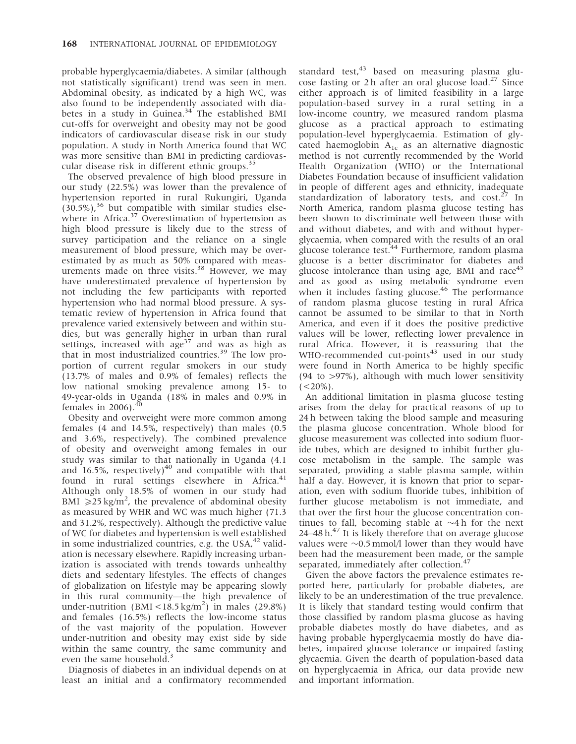probable hyperglycaemia/diabetes. A similar (although not statistically significant) trend was seen in men. Abdominal obesity, as indicated by a high WC, was also found to be independently associated with diabetes in a study in Guinea. $34$  The established BMI cut-offs for overweight and obesity may not be good indicators of cardiovascular disease risk in our study population. A study in North America found that WC was more sensitive than BMI in predicting cardiovascular disease risk in different ethnic groups.<sup>35</sup>

The observed prevalence of high blood pressure in our study (22.5%) was lower than the prevalence of hypertension reported in rural Rukungiri, Uganda  $(30.5\%)$ ,<sup>36</sup> but compatible with similar studies elsewhere in Africa. $37$  Overestimation of hypertension as high blood pressure is likely due to the stress of survey participation and the reliance on a single measurement of blood pressure, which may be overestimated by as much as 50% compared with measurements made on three visits. $38$  However, we may have underestimated prevalence of hypertension by not including the few participants with reported hypertension who had normal blood pressure. A systematic review of hypertension in Africa found that prevalence varied extensively between and within studies, but was generally higher in urban than rural settings, increased with  $age<sup>37</sup>$  and was as high as that in most industrialized countries.<sup>39</sup> The low proportion of current regular smokers in our study  $(13.7\%$  of males and 0.9% of females) reflects the low national smoking prevalence among 15- to 49-year-olds in Uganda (18% in males and 0.9% in females in 2006). $^{40}$ 

Obesity and overweight were more common among females (4 and 14.5%, respectively) than males (0.5 and 3.6%, respectively). The combined prevalence of obesity and overweight among females in our study was similar to that nationally in Uganda (4.1 and  $16.5\%$ , respectively)<sup>40</sup> and compatible with that found in rural settings elsewhere in Africa.<sup>41</sup> Although only 18.5% of women in our study had BMI  $\geq 25 \text{ kg/m}^2$ , the prevalence of abdominal obesity as measured by WHR and WC was much higher (71.3 and 31.2%, respectively). Although the predictive value of WC for diabetes and hypertension is well established in some industrialized countries, e.g. the USA, $42$  validation is necessary elsewhere. Rapidly increasing urbanization is associated with trends towards unhealthy diets and sedentary lifestyles. The effects of changes of globalization on lifestyle may be appearing slowly in this rural community—the high prevalence of under-nutrition (BMI <18.5 kg/m<sup>2</sup>) in males (29.8%) and females (16.5%) reflects the low-income status of the vast majority of the population. However under-nutrition and obesity may exist side by side within the same country, the same community and even the same household.<sup>3</sup>

Diagnosis of diabetes in an individual depends on at least an initial and a confirmatory recommended

standard test, $43$  based on measuring plasma glucose fasting or 2 h after an oral glucose load.<sup>27</sup> Since either approach is of limited feasibility in a large population-based survey in a rural setting in a low-income country, we measured random plasma glucose as a practical approach to estimating population-level hyperglycaemia. Estimation of glycated haemoglobin  $A_{1c}$  as an alternative diagnostic method is not currently recommended by the World Health Organization (WHO) or the International Diabetes Foundation because of insufficient validation in people of different ages and ethnicity, inadequate standardization of laboratory tests, and  $cost<sup>27</sup>$  In North America, random plasma glucose testing has been shown to discriminate well between those with and without diabetes, and with and without hyperglycaemia, when compared with the results of an oral glucose tolerance test. $44$  Furthermore, random plasma glucose is a better discriminator for diabetes and glucose intolerance than using age, BMI and race $45$ and as good as using metabolic syndrome even when it includes fasting glucose.<sup>46</sup> The performance of random plasma glucose testing in rural Africa cannot be assumed to be similar to that in North America, and even if it does the positive predictive values will be lower, reflecting lower prevalence in rural Africa. However, it is reassuring that the WHO-recommended cut-points $43$  used in our study were found in North America to be highly specific  $(94 \text{ to } > 97\%)$ , although with much lower sensitivity  $(<20\%)$ .

An additional limitation in plasma glucose testing arises from the delay for practical reasons of up to 24 h between taking the blood sample and measuring the plasma glucose concentration. Whole blood for glucose measurement was collected into sodium fluoride tubes, which are designed to inhibit further glucose metabolism in the sample. The sample was separated, providing a stable plasma sample, within half a day. However, it is known that prior to separation, even with sodium fluoride tubes, inhibition of further glucose metabolism is not immediate, and that over the first hour the glucose concentration continues to fall, becoming stable at  $\sim$ 4h for the next 24–48 h. $^{47}$  It is likely therefore that on average glucose values were  $\sim$ 0.5 mmol/l lower than they would have been had the measurement been made, or the sample separated, immediately after collection.<sup>47</sup>

Given the above factors the prevalence estimates reported here, particularly for probable diabetes, are likely to be an underestimation of the true prevalence. It is likely that standard testing would confirm that those classified by random plasma glucose as having probable diabetes mostly do have diabetes, and as having probable hyperglycaemia mostly do have diabetes, impaired glucose tolerance or impaired fasting glycaemia. Given the dearth of population-based data on hyperglycaemia in Africa, our data provide new and important information.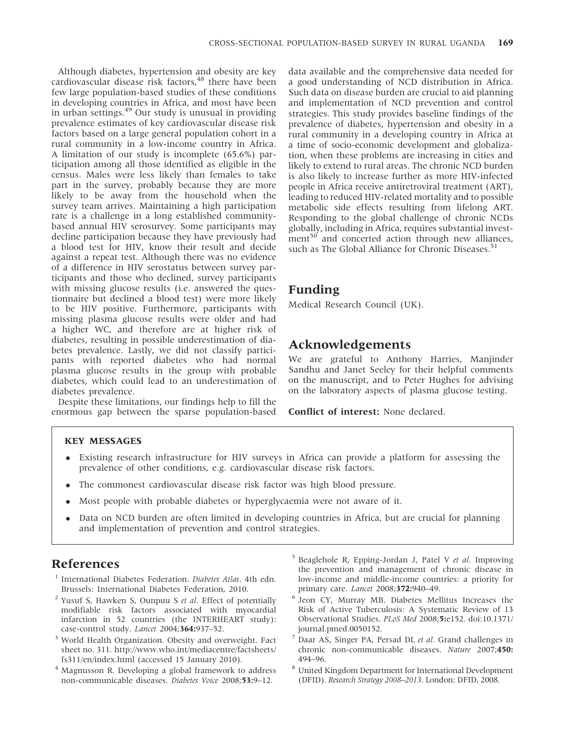Although diabetes, hypertension and obesity are key cardiovascular disease risk factors,<sup>48</sup> there have been few large population-based studies of these conditions in developing countries in Africa, and most have been in urban settings.<sup>49</sup> Our study is unusual in providing prevalence estimates of key cardiovascular disease risk factors based on a large general population cohort in a rural community in a low-income country in Africa. A limitation of our study is incomplete (65.6%) participation among all those identified as eligible in the census. Males were less likely than females to take part in the survey, probably because they are more likely to be away from the household when the survey team arrives. Maintaining a high participation rate is a challenge in a long established communitybased annual HIV serosurvey. Some participants may decline participation because they have previously had a blood test for HIV, know their result and decide against a repeat test. Although there was no evidence of a difference in HIV serostatus between survey participants and those who declined, survey participants with missing glucose results (i.e. answered the questionnaire but declined a blood test) were more likely to be HIV positive. Furthermore, participants with missing plasma glucose results were older and had a higher WC, and therefore are at higher risk of diabetes, resulting in possible underestimation of diabetes prevalence. Lastly, we did not classify participants with reported diabetes who had normal plasma glucose results in the group with probable diabetes, which could lead to an underestimation of diabetes prevalence.

Despite these limitations, our findings help to fill the enormous gap between the sparse population-based

data available and the comprehensive data needed for a good understanding of NCD distribution in Africa. Such data on disease burden are crucial to aid planning and implementation of NCD prevention and control strategies. This study provides baseline findings of the prevalence of diabetes, hypertension and obesity in a rural community in a developing country in Africa at a time of socio-economic development and globalization, when these problems are increasing in cities and likely to extend to rural areas. The chronic NCD burden is also likely to increase further as more HIV-infected people in Africa receive antiretroviral treatment (ART), leading to reduced HIV-related mortality and to possible metabolic side effects resulting from lifelong ART. Responding to the global challenge of chronic NCDs globally, including in Africa, requires substantial invest $ment<sup>50</sup>$  and concerted action through new alliances, such as The Global Alliance for Chronic Diseases.<sup>51</sup>

## Funding

Medical Research Council (UK).

## Acknowledgements

We are grateful to Anthony Harries, Manjinder Sandhu and Janet Seeley for their helpful comments on the manuscript, and to Peter Hughes for advising on the laboratory aspects of plasma glucose testing.

Conflict of interest: None declared.

## KEY MESSAGES

- Existing research infrastructure for HIV surveys in Africa can provide a platform for assessing the prevalence of other conditions, e.g. cardiovascular disease risk factors.
- The commonest cardiovascular disease risk factor was high blood pressure.
- Most people with probable diabetes or hyperglycaemia were not aware of it.
- Data on NCD burden are often limited in developing countries in Africa, but are crucial for planning and implementation of prevention and control strategies.

# References

- International Diabetes Federation. Diabetes Atlas. 4th edn. Brussels: International Diabetes Federation, 2010.
- $2$  Yusuf S, Hawken S, Ounpuu S et al. Effect of potentially modifiable risk factors associated with myocardial infarction in 52 countries (the INTERHEART study): case-control study. Lancet 2004;364:937–52.
- <sup>3</sup> World Health Organization. Obesity and overweight. Fact sheet no. 311. http://www.who.int/mediacentre/factsheets/ fs311/en/index.html (accessed 15 January 2010).
- <sup>4</sup> Magnusson R. Developing a global framework to address non-communicable diseases. Diabetes Voice 2008;53:9–12.
- <sup>5</sup> Beaglehole R, Epping-Jordan J, Patel V et al. Improving the prevention and management of chronic disease in low-income and middle-income countries: a priority for primary care. Lancet 2008;372:940–49.
- <sup>6</sup> Jeon CY, Murray MB. Diabetes Mellitus Increases the Risk of Active Tuberculosis: A Systematic Review of 13 Observational Studies. PLoS Med 2008;5:e152. doi:10.1371/ journal.pmed.0050152.
- $7$  Daar AS, Singer PA, Persad DL et al. Grand challenges in chronic non-communicable diseases. Nature 2007;450: 494–96.
- $^{\rm 8}$  United Kingdom Department for International Development (DFID). Research Strategy 2008–2013. London: DFID, 2008.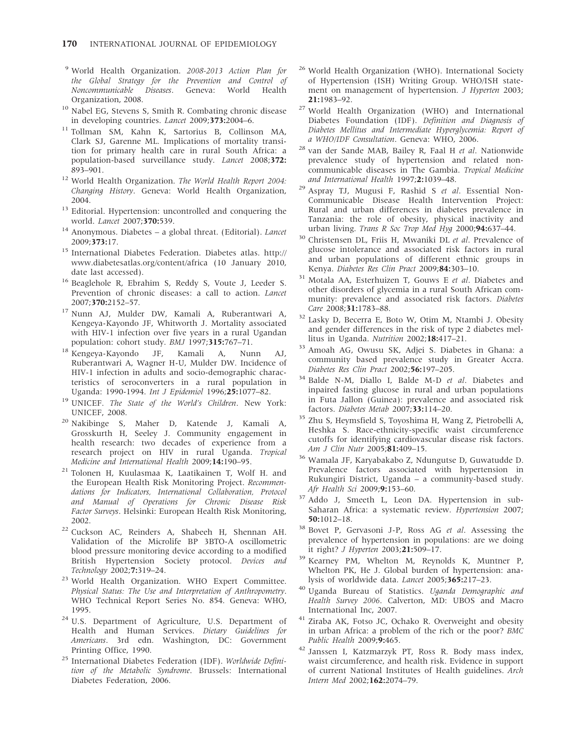- <sup>9</sup> World Health Organization. 2008-2013 Action Plan for the Global Strategy for the Prevention and Control of Noncommunicable Diseases. Geneva: World Health Organization, 2008.
- <sup>10</sup> Nabel EG, Stevens S, Smith R. Combating chronic disease in developing countries. Lancet 2009;373:2004–6.
- <sup>11</sup> Tollman SM, Kahn K, Sartorius B, Collinson MA, Clark SJ, Garenne ML. Implications of mortality transition for primary health care in rural South Africa: a population-based surveillance study. Lancet 2008;372: 893–901.
- <sup>12</sup> World Health Organization. The World Health Report 2004: Changing History. Geneva: World Health Organization, 2004.
- <sup>13</sup> Editorial. Hypertension: uncontrolled and conquering the world. Lancet 2007;370:539.
- $14$  Anonymous. Diabetes a global threat. (Editorial). Lancet 2009;373:17.
- <sup>15</sup> International Diabetes Federation. Diabetes atlas. http:// www.diabetesatlas.org/content/africa (10 January 2010, date last accessed).
- <sup>16</sup> Beaglehole R, Ebrahim S, Reddy S, Voute J, Leeder S. Prevention of chronic diseases: a call to action. Lancet 2007;370:2152–57.
- <sup>17</sup> Nunn AJ, Mulder DW, Kamali A, Ruberantwari A, Kengeya-Kayondo JF, Whitworth J. Mortality associated with HIV-1 infection over five years in a rural Ugandan population: cohort study. BMJ 1997;315:767–71.
- <sup>18</sup> Kengeya-Kayondo JF, Kamali A, Nunn AJ, Ruberantwari A, Wagner H-U, Mulder DW. Incidence of HIV-1 infection in adults and socio-demographic characteristics of seroconverters in a rural population in Uganda: 1990-1994. Int J Epidemiol 1996;25:1077–82.
- <sup>19</sup> UNICEF. The State of the World's Children. New York: UNICEF, 2008.
- <sup>20</sup> Nakibinge S, Maher D, Katende J, Kamali A, Grosskurth H, Seeley J. Community engagement in health research: two decades of experience from a research project on HIV in rural Uganda. Tropical Medicine and International Health 2009;14:190–95.
- <sup>21</sup> Tolonen H, Kuulasmaa K, Laatikainen T, Wolf H. and the European Health Risk Monitoring Project. Recommendations for Indicators, International Collaboration, Protocol and Manual of Operations for Chronic Disease Risk Factor Surveys. Helsinki: European Health Risk Monitoring, 2002.
- <sup>22</sup> Cuckson AC, Reinders A, Shabeeh H, Shennan AH. Validation of the Microlife BP 3BTO-A oscillometric blood pressure monitoring device according to a modified British Hypertension Society protocol. Devices and Technology 2002;7:319–24.
- <sup>23</sup> World Health Organization. WHO Expert Committee. Physical Status: The Use and Interpretation of Anthropometry. WHO Technical Report Series No. 854. Geneva: WHO, 1995.
- <sup>24</sup> U.S. Department of Agriculture, U.S. Department of Health and Human Services. Dietary Guidelines for Americans. 3rd edn. Washington, DC: Government Printing Office, 1990.
- <sup>25</sup> International Diabetes Federation (IDF). Worldwide Definition of the Metabolic Syndrome. Brussels: International Diabetes Federation, 2006.
- <sup>26</sup> World Health Organization (WHO). International Society of Hypertension (ISH) Writing Group. WHO/ISH statement on management of hypertension. J Hyperten 2003; 21:1983–92.
- <sup>27</sup> World Health Organization (WHO) and International Diabetes Foundation (IDF). Definition and Diagnosis of Diabetes Mellitus and Intermediate Hyperglycemia: Report of a WHO/IDF Consultation. Geneva: WHO, 2006.
- $28$  van der Sande MAB, Bailey R, Faal H et al. Nationwide prevalence study of hypertension and related noncommunicable diseases in The Gambia. Tropical Medicine and International Health 1997;2:1039–48.
- <sup>29</sup> Aspray TJ, Mugusi F, Rashid S et al. Essential Non-Communicable Disease Health Intervention Project: Rural and urban differences in diabetes prevalence in Tanzania: the role of obesity, physical inactivity and urban living. Trans R Soc Trop Med Hyg  $2000;94:637-44$ .
- <sup>30</sup> Christensen DL, Friis H, Mwaniki DL et al. Prevalence of glucose intolerance and associated risk factors in rural and urban populations of different ethnic groups in Kenya. Diabetes Res Clin Pract 2009;84:303–10.
- <sup>31</sup> Motala AA, Esterhuizen T, Gouws E et al. Diabetes and other disorders of glycemia in a rural South African community: prevalence and associated risk factors. Diabetes Care 2008;31:1783–88.
- <sup>32</sup> Lasky D, Becerra E, Boto W, Otim M, Ntambi J. Obesity and gender differences in the risk of type 2 diabetes mellitus in Uganda. Nutrition 2002;18:417–21.
- <sup>33</sup> Amoah AG, Owusu SK, Adjei S. Diabetes in Ghana: a community based prevalence study in Greater Accra. Diabetes Res Clin Pract 2002;56:197–205.
- <sup>34</sup> Balde N-M, Diallo I, Balde M-D et al. Diabetes and inpaired fasting glucose in rural and urban populations in Futa Jallon (Guinea): prevalence and associated risk factors. Diabetes Metab 2007;33:114–20.
- <sup>35</sup> Zhu S, Heymsfield S, Toyoshima H, Wang Z, Pietrobelli A, Heshka S. Race-ethnicity-specific waist circumference cutoffs for identifying cardiovascular disease risk factors. Am J Clin Nutr 2005;81:409–15.
- <sup>36</sup> Wamala JF, Karyabakabo Z, Ndungutse D, Guwatudde D. Prevalence factors associated with hypertension in Rukungiri District, Uganda – a community-based study. Afr Health Sci 2009;9:153–60.
- <sup>37</sup> Addo J, Smeeth L, Leon DA. Hypertension in sub-Saharan Africa: a systematic review. Hypertension 2007; 50:1012–18.
- <sup>38</sup> Bovet P, Gervasoni J-P, Ross AG et al. Assessing the prevalence of hypertension in populations: are we doing it right? J Hyperten 2003;21:509–17.
- <sup>39</sup> Kearney PM, Whelton M, Reynolds K, Muntner P, Whelton PK, He J. Global burden of hypertension: analysis of worldwide data. Lancet 2005;365:217–23.
- <sup>40</sup> Uganda Bureau of Statistics. Uganda Demographic and Health Survey 2006. Calverton, MD: UBOS and Macro International Inc, 2007.
- <sup>41</sup> Ziraba AK, Fotso JC, Ochako R. Overweight and obesity in urban Africa: a problem of the rich or the poor? BMC Public Health 2009;9:465.
- <sup>42</sup> Janssen I, Katzmarzyk PT, Ross R. Body mass index, waist circumference, and health risk. Evidence in support of current National Institutes of Health guidelines. Arch Intern Med 2002;162:2074–79.